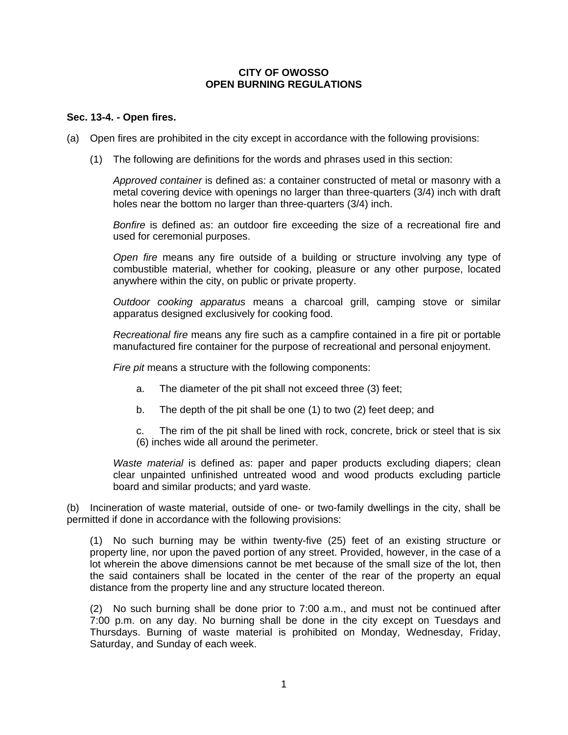## **CITY OF OWOSSO OPEN BURNING REGULATIONS**

## **Sec. 13-4. - Open fires.**

(a) Open fires are prohibited in the city except in accordance with the following provisions:

(1) The following are definitions for the words and phrases used in this section:

*Approved container* is defined as: a container constructed of metal or masonry with a metal covering device with openings no larger than three-quarters (3/4) inch with draft holes near the bottom no larger than three-quarters (3/4) inch.

*Bonfire* is defined as: an outdoor fire exceeding the size of a recreational fire and used for ceremonial purposes.

*Open fire* means any fire outside of a building or structure involving any type of combustible material, whether for cooking, pleasure or any other purpose, located anywhere within the city, on public or private property.

*Outdoor cooking apparatus* means a charcoal grill, camping stove or similar apparatus designed exclusively for cooking food.

*Recreational fire* means any fire such as a campfire contained in a fire pit or portable manufactured fire container for the purpose of recreational and personal enjoyment.

*Fire pit* means a structure with the following components:

- a. The diameter of the pit shall not exceed three (3) feet;
- b. The depth of the pit shall be one (1) to two (2) feet deep; and

c. The rim of the pit shall be lined with rock, concrete, brick or steel that is six (6) inches wide all around the perimeter.

*Waste material* is defined as: paper and paper products excluding diapers; clean clear unpainted unfinished untreated wood and wood products excluding particle board and similar products; and yard waste.

(b) Incineration of waste material, outside of one- or two-family dwellings in the city, shall be permitted if done in accordance with the following provisions:

(1) No such burning may be within twenty-five (25) feet of an existing structure or property line, nor upon the paved portion of any street. Provided, however, in the case of a lot wherein the above dimensions cannot be met because of the small size of the lot, then the said containers shall be located in the center of the rear of the property an equal distance from the property line and any structure located thereon.

(2) No such burning shall be done prior to 7:00 a.m., and must not be continued after 7:00 p.m. on any day. No burning shall be done in the city except on Tuesdays and Thursdays. Burning of waste material is prohibited on Monday, Wednesday, Friday, Saturday, and Sunday of each week.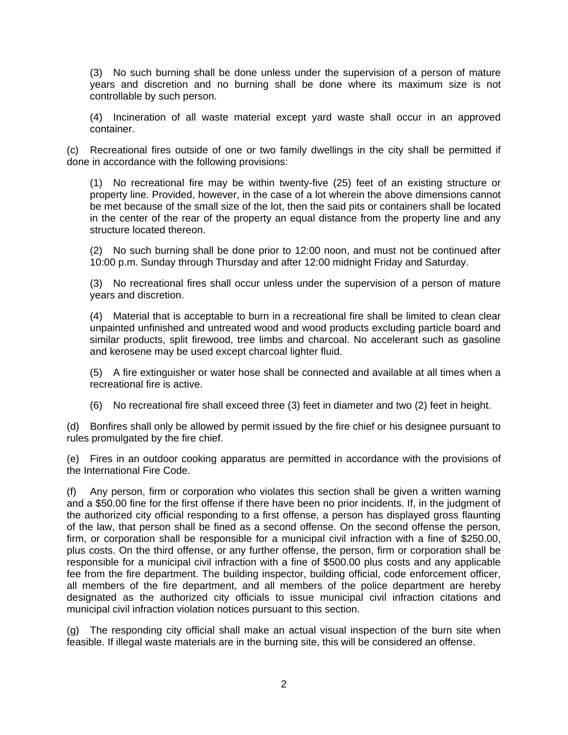(3) No such burning shall be done unless under the supervision of a person of mature years and discretion and no burning shall be done where its maximum size is not controllable by such person.

(4) Incineration of all waste material except yard waste shall occur in an approved container.

(c) Recreational fires outside of one or two family dwellings in the city shall be permitted if done in accordance with the following provisions:

(1) No recreational fire may be within twenty-five (25) feet of an existing structure or property line. Provided, however, in the case of a lot wherein the above dimensions cannot be met because of the small size of the lot, then the said pits or containers shall be located in the center of the rear of the property an equal distance from the property line and any structure located thereon.

(2) No such burning shall be done prior to 12:00 noon, and must not be continued after 10:00 p.m. Sunday through Thursday and after 12:00 midnight Friday and Saturday.

(3) No recreational fires shall occur unless under the supervision of a person of mature years and discretion.

(4) Material that is acceptable to burn in a recreational fire shall be limited to clean clear unpainted unfinished and untreated wood and wood products excluding particle board and similar products, split firewood, tree limbs and charcoal. No accelerant such as gasoline and kerosene may be used except charcoal lighter fluid.

(5) A fire extinguisher or water hose shall be connected and available at all times when a recreational fire is active.

(6) No recreational fire shall exceed three (3) feet in diameter and two (2) feet in height.

(d) Bonfires shall only be allowed by permit issued by the fire chief or his designee pursuant to rules promulgated by the fire chief.

(e) Fires in an outdoor cooking apparatus are permitted in accordance with the provisions of the International Fire Code.

(f) Any person, firm or corporation who violates this section shall be given a written warning and a \$50.00 fine for the first offense if there have been no prior incidents. If, in the judgment of the authorized city official responding to a first offense, a person has displayed gross flaunting of the law, that person shall be fined as a second offense. On the second offense the person, firm, or corporation shall be responsible for a municipal civil infraction with a fine of \$250.00, plus costs. On the third offense, or any further offense, the person, firm or corporation shall be responsible for a municipal civil infraction with a fine of \$500.00 plus costs and any applicable fee from the fire department. The building inspector, building official, code enforcement officer, all members of the fire department, and all members of the police department are hereby designated as the authorized city officials to issue municipal civil infraction citations and municipal civil infraction violation notices pursuant to this section.

(g) The responding city official shall make an actual visual inspection of the burn site when feasible. If illegal waste materials are in the burning site, this will be considered an offense.